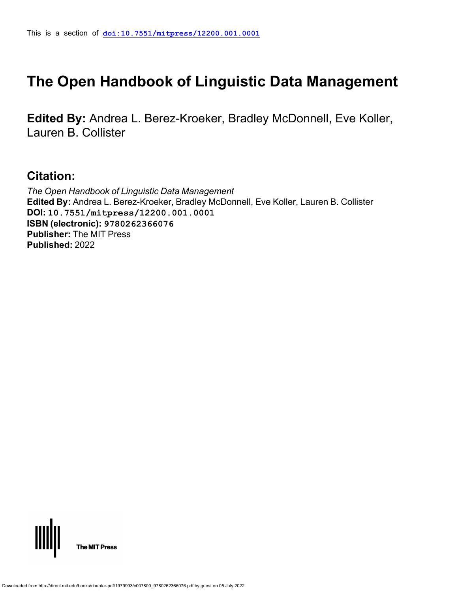# **The Open Handbook of Linguistic Data Management**

**Edited By:** Andrea L. Berez-Kroeker, Bradley McDonnell, Eve Koller, Lauren B. Collister

# **Citation:**

*The Open Handbook of Linguistic Data Management* **Edited By:** Andrea L. Berez-Kroeker, Bradley McDonnell, Eve Koller, Lauren B. Collister **DOI: 10.7551/mitpress/12200.001.0001 ISBN (electronic): 9780262366076 Publisher:** The MIT Press **Published:** 2022

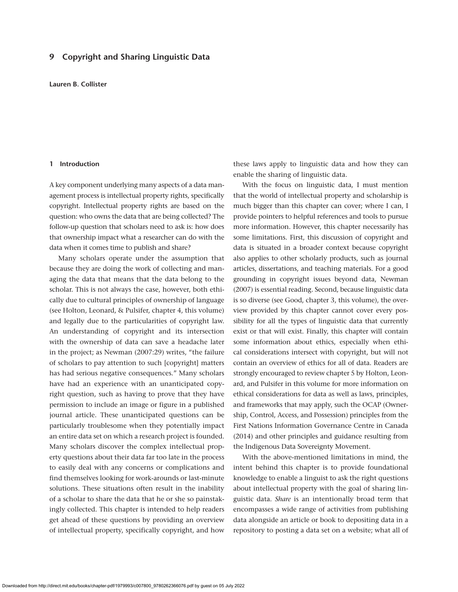# **9 Copyright and Sharing Linguistic Data**

**Lauren B. Collister**

# **1 Introduction**

A key component underlying many aspects of a data management process is intellectual property rights, specifically copyright. Intellectual property rights are based on the question: who owns the data that are being collected? The follow-up question that scholars need to ask is: how does that ownership impact what a researcher can do with the data when it comes time to publish and share?

Many scholars operate under the assumption that because they are doing the work of collecting and managing the data that means that the data belong to the scholar. This is not always the case, however, both ethically due to cultural principles of ownership of language (see Holton, Leonard, & Pulsifer, chapter 4, this volume) and legally due to the particularities of copyright law. An understanding of copyright and its intersection with the ownership of data can save a headache later in the project; as Newman (2007:29) writes, "the failure of scholars to pay attention to such [copyright] matters has had serious negative consequences." Many scholars have had an experience with an unanticipated copyright question, such as having to prove that they have permission to include an image or figure in a published journal article. These unanticipated questions can be particularly troublesome when they potentially impact an entire data set on which a research project is founded. Many scholars discover the complex intellectual property questions about their data far too late in the process to easily deal with any concerns or complications and find themselves looking for work-arounds or last-minute solutions. These situations often result in the inability of a scholar to share the data that he or she so painstakingly collected. This chapter is intended to help readers get ahead of these questions by providing an overview of intellectual property, specifically copyright, and how

these laws apply to linguistic data and how they can enable the sharing of linguistic data.

With the focus on linguistic data, I must mention that the world of intellectual property and scholarship is much bigger than this chapter can cover; where I can, I provide pointers to helpful references and tools to pursue more information. However, this chapter necessarily has some limitations. First, this discussion of copyright and data is situated in a broader context because copyright also applies to other scholarly products, such as journal articles, dissertations, and teaching materials. For a good grounding in copyright issues beyond data, Newman (2007) is essential reading. Second, because linguistic data is so diverse (see Good, chapter 3, this volume), the overview provided by this chapter cannot cover every possibility for all the types of linguistic data that currently exist or that will exist. Finally, this chapter will contain some information about ethics, especially when ethical considerations intersect with copyright, but will not contain an overview of ethics for all of data. Readers are strongly encouraged to review chapter 5 by Holton, Leonard, and Pulsifer in this volume for more information on ethical considerations for data as well as laws, principles, and frameworks that may apply, such the OCAP (Ownership, Control, Access, and Possession) principles from the First Nations Information Governance Centre in Canada (2014) and other principles and guidance resulting from the Indigenous Data Sovereignty Movement.

With the above-mentioned limitations in mind, the intent behind this chapter is to provide foundational knowledge to enable a linguist to ask the right questions about intellectual property with the goal of sharing linguistic data. *Share* is an intentionally broad term that encompasses a wide range of activities from publishing data alongside an article or book to depositing data in a repository to posting a data set on a website; what all of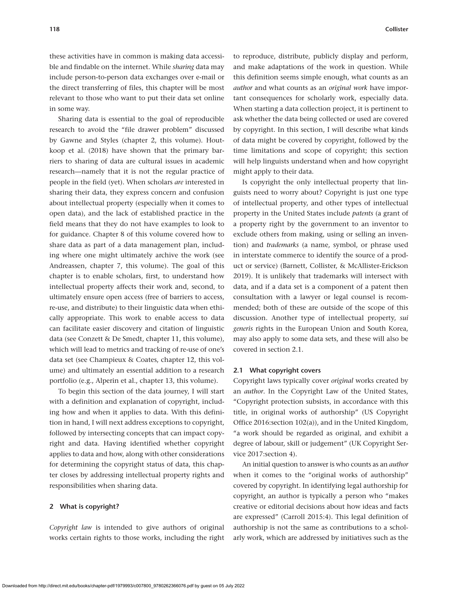these activities have in common is making data accessible and findable on the internet. While *sharing* data may include person-to-person data exchanges over e-mail or the direct transferring of files, this chapter will be most relevant to those who want to put their data set online in some way.

Sharing data is essential to the goal of reproducible research to avoid the "file drawer problem" discussed by Gawne and Styles (chapter 2, this volume). Houtkoop et al. (2018) have shown that the primary barriers to sharing of data are cultural issues in academic research—namely that it is not the regular practice of people in the field (yet). When scholars *are* interested in sharing their data, they express concern and confusion about intellectual property (especially when it comes to open data), and the lack of established practice in the field means that they do not have examples to look to for guidance. Chapter 8 of this volume covered how to share data as part of a data management plan, including where one might ultimately archive the work (see Andreassen, chapter 7, this volume). The goal of this chapter is to enable scholars, first, to understand how intellectual property affects their work and, second, to ultimately ensure open access (free of barriers to access, re-use, and distribute) to their linguistic data when ethically appropriate. This work to enable access to data can facilitate easier discovery and citation of linguistic data (see Conzett & De Smedt, chapter 11, this volume), which will lead to metrics and tracking of re-use of one's data set (see Champieux & Coates, chapter 12, this volume) and ultimately an essential addition to a research portfolio (e.g., Alperin et al., chapter 13, this volume).

To begin this section of the data journey, I will start with a definition and explanation of copyright, including how and when it applies to data. With this definition in hand, I will next address exceptions to copyright, followed by intersecting concepts that can impact copyright and data. Having identified whether copyright applies to data and how, along with other considerations for determining the copyright status of data, this chapter closes by addressing intellectual property rights and responsibilities when sharing data.

#### **2 What is copyright?**

*Copyright law* is intended to give authors of original works certain rights to those works, including the right

to reproduce, distribute, publicly display and perform, and make adaptations of the work in question. While this definition seems simple enough, what counts as an *author* and what counts as an *original work* have important consequences for scholarly work, especially data. When starting a data collection project, it is pertinent to ask whether the data being collected or used are covered by copyright. In this section, I will describe what kinds of data might be covered by copyright, followed by the time limitations and scope of copyright; this section will help linguists understand when and how copyright might apply to their data.

Is copyright the only intellectual property that linguists need to worry about? Copyright is just one type of intellectual property, and other types of intellectual property in the United States include *patents* (a grant of a property right by the government to an inventor to exclude others from making, using or selling an invention) and *trademarks* (a name, symbol, or phrase used in interstate commerce to identify the source of a product or service) (Barnett, Collister, & McAllister-Erickson 2019). It is unlikely that trademarks will intersect with data, and if a data set is a component of a patent then consultation with a lawyer or legal counsel is recommended; both of these are outside of the scope of this discussion. Another type of intellectual property, *sui generis* rights in the European Union and South Korea, may also apply to some data sets, and these will also be covered in section 2.1.

# **2.1 What copyright covers**

Copyright laws typically cover *original* works created by an *author*. In the Copyright Law of the United States, "Copyright protection subsists, in accordance with this title, in original works of authorship" (US Copyright Office 2016:section 102(a)), and in the United Kingdom, "a work should be regarded as original, and exhibit a degree of labour, skill or judgement" (UK Copyright Service 2017:section 4).

An initial question to answer is who counts as an *author* when it comes to the "original works of authorship" covered by copyright. In identifying legal authorship for copyright, an author is typically a person who "makes creative or editorial decisions about how ideas and facts are expressed" (Carroll 2015:4). This legal definition of authorship is not the same as contributions to a scholarly work, which are addressed by initiatives such as the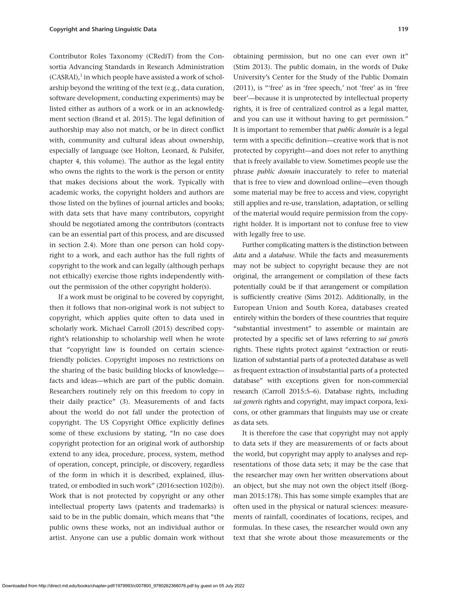Contributor Roles Taxonomy (CRediT) from the Consortia Advancing Standards in Research Administration (CASRAI),<sup>1</sup> in which people have assisted a work of scholarship beyond the writing of the text (e.g., data curation, software development, conducting experiments) may be listed either as authors of a work or in an acknowledgment section (Brand et al. 2015). The legal definition of authorship may also not match, or be in direct conflict with, community and cultural ideas about ownership, especially of language (see Holton, Leonard, & Pulsifer, chapter 4, this volume). The author as the legal entity who owns the rights to the work is the person or entity that makes decisions about the work. Typically with academic works, the copyright holders and authors are those listed on the bylines of journal articles and books; with data sets that have many contributors, copyright should be negotiated among the contributors (contracts can be an essential part of this process, and are discussed in section 2.4). More than one person can hold copyright to a work, and each author has the full rights of copyright to the work and can legally (although perhaps not ethically) exercise those rights independently without the permission of the other copyright holder(s).

If a work must be original to be covered by copyright, then it follows that non-original work is not subject to copyright, which applies quite often to data used in scholarly work. Michael Carroll (2015) described copyright's relationship to scholarship well when he wrote that "copyright law is founded on certain sciencefriendly policies. Copyright imposes no restrictions on the sharing of the basic building blocks of knowledge facts and ideas—which are part of the public domain. Researchers routinely rely on this freedom to copy in their daily practice" (3). Measurements of and facts about the world do not fall under the protection of copyright. The US Copyright Office explicitly defines some of these exclusions by stating, "In no case does copyright protection for an original work of authorship extend to any idea, procedure, process, system, method of operation, concept, principle, or discovery, regardless of the form in which it is described, explained, illustrated, or embodied in such work" (2016:section 102(b)). Work that is not protected by copyright or any other intellectual property laws (patents and trademarks) is said to be in the public domain, which means that "the public owns these works, not an individual author or artist. Anyone can use a public domain work without

obtaining permission, but no one can ever own it" (Stim 2013). The public domain, in the words of Duke University's Center for the Study of the Public Domain (2011), is "'free' as in 'free speech,' not 'free' as in 'free beer'—because it is unprotected by intellectual property rights, it is free of centralized control as a legal matter, and you can use it without having to get permission." It is important to remember that *public domain* is a legal term with a specific definition—creative work that is not protected by copyright—and does not refer to anything that is freely available to view. Sometimes people use the phrase *public domain* inaccurately to refer to material that is free to view and download online—even though some material may be free to access and view, copyright still applies and re-use, translation, adaptation, or selling of the material would require permission from the copyright holder. It is important not to confuse free to view with legally free to use.

Further complicating matters is the distinction between *data* and a *database*. While the facts and measurements may not be subject to copyright because they are not original, the arrangement or compilation of these facts potentially could be if that arrangement or compilation is sufficiently creative (Sims 2012). Additionally, in the European Union and South Korea, databases created entirely within the borders of these countries that require "substantial investment" to assemble or maintain are protected by a specific set of laws referring to *sui generis* rights. These rights protect against "extraction or reutilization of substantial parts of a protected database as well as frequent extraction of insubstantial parts of a protected database" with exceptions given for non-commercial research (Carroll 2015:5–6). Database rights, including *sui generis* rights and copyright, may impact corpora, lexicons, or other grammars that linguists may use or create as data sets.

It is therefore the case that copyright may not apply to data sets if they are measurements of or facts about the world, but copyright may apply to analyses and representations of those data sets; it may be the case that the researcher may own her written observations about an object, but she may not own the object itself (Borgman 2015:178). This has some simple examples that are often used in the physical or natural sciences: measurements of rainfall, coordinates of locations, recipes, and formulas. In these cases, the researcher would own any text that she wrote about those measurements or the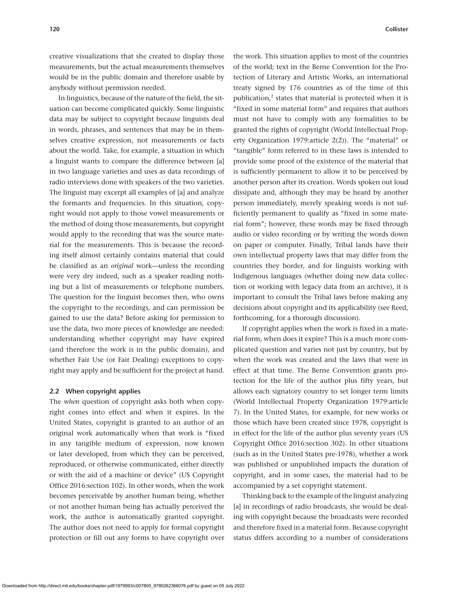creative visualizations that she created to display those measurements, but the actual measurements themselves would be in the public domain and therefore usable by anybody without permission needed.

In linguistics, because of the nature of the field, the situation can become complicated quickly. Some linguistic data may be subject to copyright because linguists deal in words, phrases, and sentences that may be in themselves creative expression, not measurements or facts about the world. Take, for example, a situation in which a linguist wants to compare the difference between [a] in two language varieties and uses as data recordings of radio interviews done with speakers of the two varieties. The linguist may excerpt all examples of [a] and analyze the formants and frequencies. In this situation, copyright would not apply to those vowel measurements or the method of doing those measurements, but copyright would apply to the recording that was the source material for the measurements. This is because the recording itself almost certainly contains material that could be classified as an *original* work—unless the recording were very dry indeed, such as a speaker reading nothing but a list of measurements or telephone numbers. The question for the linguist becomes then, who owns the copyright to the recordings, and can permission be gained to use the data? Before asking for permission to use the data, two more pieces of knowledge are needed: understanding whether copyright may have expired (and therefore the work is in the public domain), and whether Fair Use (or Fair Dealing) exceptions to copyright may apply and be sufficient for the project at hand.

## **2.2 When copyright applies**

The *when* question of copyright asks both when copyright comes into effect and when it expires. In the United States, copyright is granted to an author of an original work automatically when that work is "fixed in any tangible medium of expression, now known or later developed, from which they can be perceived, reproduced, or otherwise communicated, either directly or with the aid of a machine or device" (US Copyright Office 2016:section 102). In other words, when the work becomes perceivable by another human being, whether or not another human being has actually perceived the work, the author is automatically granted copyright. The author does not need to apply for formal copyright protection or fill out any forms to have copyright over

the work. This situation applies to most of the countries of the world; text in the Berne Convention for the Protection of Literary and Artistic Works, an international treaty signed by 176 countries as of the time of this publication, $2$  states that material is protected when it is "fixed in some material form" and requires that authors must not have to comply with any formalities to be granted the rights of copyright (World Intellectual Property Organization 1979:article 2(2)). The "material" or "tangible" form referred to in these laws is intended to provide some proof of the existence of the material that is sufficiently permanent to allow it to be perceived by another person after its creation. Words spoken out loud dissipate and, although they may be heard by another person immediately, merely speaking words is not sufficiently permanent to qualify as "fixed in some material form"; however, these words may be fixed through audio or video recording or by writing the words down on paper or computer. Finally, Tribal lands have their own intellectual property laws that may differ from the countries they border, and for linguists working with Indigenous languages (whether doing new data collection or working with legacy data from an archive), it is important to consult the Tribal laws before making any decisions about copyright and its applicability (see Reed, forthcoming, for a thorough discussion).

If copyright applies when the work is fixed in a material form, when does it expire? This is a much more complicated question and varies not just by country, but by when the work was created and the laws that were in effect at that time. The Berne Convention grants protection for the life of the author plus fifty years, but allows each signatory country to set longer term limits (World Intellectual Property Organization 1979:article 7). In the United States, for example, for new works or those which have been created since 1978, copyright is in effect for the life of the author plus seventy years (US Copyright Office 2016:section 302). In other situations (such as in the United States pre-1978), whether a work was published or unpublished impacts the duration of copyright, and in some cases, the material had to be accompanied by a set copyright statement.

Thinking back to the example of the linguist analyzing [a] in recordings of radio broadcasts, she would be dealing with copyright because the broadcasts were recorded and therefore fixed in a material form. Because copyright status differs according to a number of considerations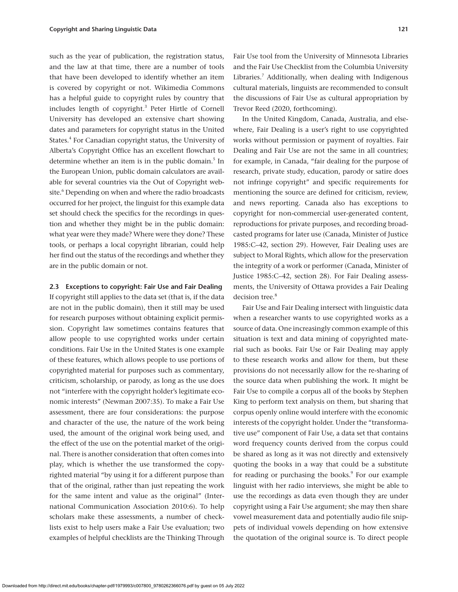such as the year of publication, the registration status, and the law at that time, there are a number of tools that have been developed to identify whether an item is covered by copyright or not. Wikimedia Commons has a helpful guide to copyright rules by country that includes length of copyright.3 Peter Hirtle of Cornell University has developed an extensive chart showing dates and parameters for copyright status in the United States.<sup>4</sup> For Canadian copyright status, the University of Alberta's Copyright Office has an excellent flowchart to determine whether an item is in the public domain.<sup>5</sup> In the European Union, public domain calculators are available for several countries via the Out of Copyright website.<sup>6</sup> Depending on when and where the radio broadcasts occurred for her project, the linguist for this example data set should check the specifics for the recordings in question and whether they might be in the public domain: what year were they made? Where were they done? These tools, or perhaps a local copyright librarian, could help her find out the status of the recordings and whether they are in the public domain or not.

#### **2.3 Exceptions to copyright: Fair Use and Fair Dealing**

If copyright still applies to the data set (that is, if the data are not in the public domain), then it still may be used for research purposes without obtaining explicit permission. Copyright law sometimes contains features that allow people to use copyrighted works under certain conditions. Fair Use in the United States is one example of these features, which allows people to use portions of copyrighted material for purposes such as commentary, criticism, scholarship, or parody, as long as the use does not "interfere with the copyright holder's legitimate economic interests" (Newman 2007:35). To make a Fair Use assessment, there are four considerations: the purpose and character of the use, the nature of the work being used, the amount of the original work being used, and the effect of the use on the potential market of the original. There is another consideration that often comes into play, which is whether the use transformed the copyrighted material "by using it for a different purpose than that of the original, rather than just repeating the work for the same intent and value as the original" (International Communication Association 2010:6). To help scholars make these assessments, a number of checklists exist to help users make a Fair Use evaluation; two examples of helpful checklists are the Thinking Through

Fair Use tool from the University of Minnesota Libraries and the Fair Use Checklist from the Columbia University Libraries.<sup>7</sup> Additionally, when dealing with Indigenous cultural materials, linguists are recommended to consult the discussions of Fair Use as cultural appropriation by Trevor Reed (2020, forthcoming).

In the United Kingdom, Canada, Australia, and elsewhere, Fair Dealing is a user's right to use copyrighted works without permission or payment of royalties. Fair Dealing and Fair Use are not the same in all countries; for example, in Canada, "fair dealing for the purpose of research, private study, education, parody or satire does not infringe copyright" and specific requirements for mentioning the source are defined for criticism, review, and news reporting. Canada also has exceptions to copyright for non-commercial user-generated content, reproductions for private purposes, and recording broadcasted programs for later use (Canada, Minister of Justice 1985:C–42, section 29). However, Fair Dealing uses are subject to Moral Rights, which allow for the preservation the integrity of a work or performer (Canada, Minister of Justice 1985:C–42, section 28). For Fair Dealing assessments, the University of Ottawa provides a Fair Dealing decision tree.<sup>8</sup>

Fair Use and Fair Dealing intersect with linguistic data when a researcher wants to use copyrighted works as a source of data. One increasingly common example of this situation is text and data mining of copyrighted material such as books. Fair Use or Fair Dealing may apply to these research works and allow for them, but these provisions do not necessarily allow for the re-sharing of the source data when publishing the work. It might be Fair Use to compile a corpus all of the books by Stephen King to perform text analysis on them, but sharing that corpus openly online would interfere with the economic interests of the copyright holder. Under the "transformative use" component of Fair Use, a data set that contains word frequency counts derived from the corpus could be shared as long as it was not directly and extensively quoting the books in a way that could be a substitute for reading or purchasing the books.<sup>9</sup> For our example linguist with her radio interviews, she might be able to use the recordings as data even though they are under copyright using a Fair Use argument; she may then share vowel measurement data and potentially audio file snippets of individual vowels depending on how extensive the quotation of the original source is. To direct people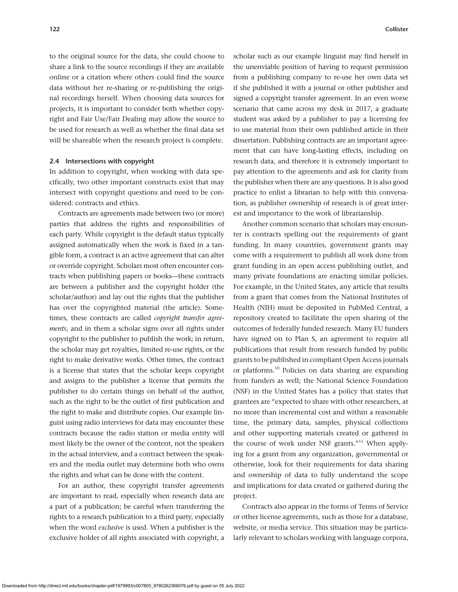to the original source for the data, she could choose to share a link to the source recordings if they are available online or a citation where others could find the source data without her re-sharing or re-publishing the original recordings herself. When choosing data sources for projects, it is important to consider both whether copyright and Fair Use/Fair Dealing may allow the source to be used for research as well as whether the final data set will be shareable when the research project is complete.

# **2.4 Intersections with copyright**

In addition to copyright, when working with data specifically, two other important constructs exist that may intersect with copyright questions and need to be considered: contracts and ethics.

Contracts are agreements made between two (or more) parties that address the rights and responsibilities of each party. While copyright is the default status typically assigned automatically when the work is fixed in a tangible form, a contract is an active agreement that can alter or override copyright. Scholars most often encounter contracts when publishing papers or books—these contracts are between a publisher and the copyright holder (the scholar/author) and lay out the rights that the publisher has over the copyrighted material (the article). Sometimes, these contracts are called *copyright transfer agreements*, and in them a scholar signs over all rights under copyright to the publisher to publish the work; in return, the scholar may get royalties, limited re-use rights, or the right to make derivative works. Other times, the contract is a license that states that the scholar keeps copyright and assigns to the publisher a license that permits the publisher to do certain things on behalf of the author, such as the right to be the outlet of first publication and the right to make and distribute copies. Our example linguist using radio interviews for data may encounter these contracts because the radio station or media entity will most likely be the owner of the content, not the speakers in the actual interview, and a contract between the speakers and the media outlet may determine both who owns the rights and what can be done with the content.

For an author, these copyright transfer agreements are important to read, especially when research data are a part of a publication; be careful when transferring the rights to a research publication to a third party, especially when the word *exclusive* is used. When a publisher is the exclusive holder of all rights associated with copyright, a

scholar such as our example linguist may find herself in the unenviable position of having to request permission from a publishing company to re-use her own data set if she published it with a journal or other publisher and signed a copyright transfer agreement. In an even worse scenario that came across my desk in 2017, a graduate student was asked by a publisher to pay a licensing fee to use material from their own published article in their dissertation. Publishing contracts are an important agreement that can have long-lasting effects, including on research data, and therefore it is extremely important to pay attention to the agreements and ask for clarity from the publisher when there are any questions. It is also good practice to enlist a librarian to help with this conversation, as publisher ownership of research is of great interest and importance to the work of librarianship.

Another common scenario that scholars may encounter is contracts spelling out the requirements of grant funding. In many countries, government grants may come with a requirement to publish all work done from grant funding in an open access publishing outlet, and many private foundations are enacting similar policies. For example, in the United States, any article that results from a grant that comes from the National Institutes of Health (NIH) must be deposited in PubMed Central, a repository created to facilitate the open sharing of the outcomes of federally funded research. Many EU funders have signed on to Plan S, an agreement to require all publications that result from research funded by public grants to be published in compliant Open Access journals or platforms.10 Policies on data sharing are expanding from funders as well; the National Science Foundation (NSF) in the United States has a policy that states that grantees are "expected to share with other researchers, at no more than incremental cost and within a reasonable time, the primary data, samples, physical collections and other supporting materials created or gathered in the course of work under NSF grants."<sup>11</sup> When applying for a grant from any organization, governmental or otherwise, look for their requirements for data sharing and ownership of data to fully understand the scope and implications for data created or gathered during the project.

Contracts also appear in the forms of Terms of Service or other license agreements, such as those for a database, website, or media service. This situation may be particularly relevant to scholars working with language corpora,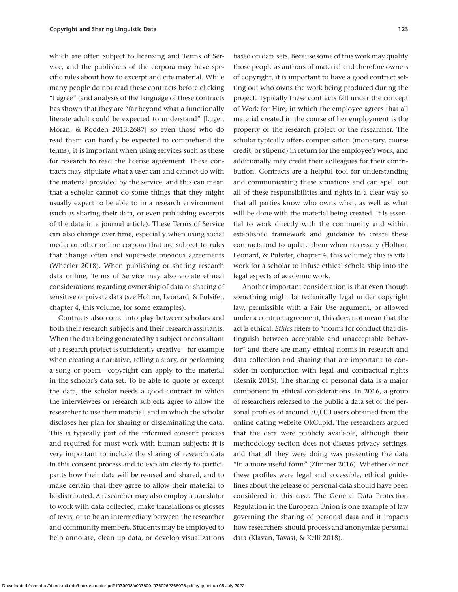which are often subject to licensing and Terms of Service, and the publishers of the corpora may have specific rules about how to excerpt and cite material. While many people do not read these contracts before clicking "I agree" (and analysis of the language of these contracts has shown that they are "far beyond what a functionally literate adult could be expected to understand" [Luger, Moran, & Rodden 2013:2687] so even those who do read them can hardly be expected to comprehend the terms), it is important when using services such as these for research to read the license agreement. These contracts may stipulate what a user can and cannot do with the material provided by the service, and this can mean that a scholar cannot do some things that they might usually expect to be able to in a research environment (such as sharing their data, or even publishing excerpts of the data in a journal article). These Terms of Service can also change over time, especially when using social media or other online corpora that are subject to rules that change often and supersede previous agreements (Wheeler 2018). When publishing or sharing research data online, Terms of Service may also violate ethical considerations regarding ownership of data or sharing of sensitive or private data (see Holton, Leonard, & Pulsifer, chapter 4, this volume, for some examples).

Contracts also come into play between scholars and both their research subjects and their research assistants. When the data being generated by a subject or consultant of a research project is sufficiently creative—for example when creating a narrative, telling a story, or performing a song or poem—copyright can apply to the material in the scholar's data set. To be able to quote or excerpt the data, the scholar needs a good contract in which the interviewees or research subjects agree to allow the researcher to use their material, and in which the scholar discloses her plan for sharing or disseminating the data. This is typically part of the informed consent process and required for most work with human subjects; it is very important to include the sharing of research data in this consent process and to explain clearly to participants how their data will be re-used and shared, and to make certain that they agree to allow their material to be distributed. A researcher may also employ a translator to work with data collected, make translations or glosses of texts, or to be an intermediary between the researcher and community members. Students may be employed to help annotate, clean up data, or develop visualizations based on data sets. Because some of this work may qualify those people as authors of material and therefore owners of copyright, it is important to have a good contract setting out who owns the work being produced during the project. Typically these contracts fall under the concept of Work for Hire, in which the employee agrees that all material created in the course of her employment is the property of the research project or the researcher. The scholar typically offers compensation (monetary, course credit, or stipend) in return for the employee's work, and additionally may credit their colleagues for their contribution. Contracts are a helpful tool for understanding and communicating these situations and can spell out all of these responsibilities and rights in a clear way so that all parties know who owns what, as well as what will be done with the material being created. It is essential to work directly with the community and within established framework and guidance to create these contracts and to update them when necessary (Holton, Leonard, & Pulsifer, chapter 4, this volume); this is vital work for a scholar to infuse ethical scholarship into the legal aspects of academic work.

Another important consideration is that even though something might be technically legal under copyright law, permissible with a Fair Use argument, or allowed under a contract agreement, this does not mean that the act is ethical. *Ethics* refers to "norms for conduct that distinguish between acceptable and unacceptable behavior" and there are many ethical norms in research and data collection and sharing that are important to consider in conjunction with legal and contractual rights (Resnik 2015). The sharing of personal data is a major component in ethical considerations. In 2016, a group of researchers released to the public a data set of the personal profiles of around 70,000 users obtained from the online dating website OkCupid. The researchers argued that the data were publicly available, although their methodology section does not discuss privacy settings, and that all they were doing was presenting the data "in a more useful form" (Zimmer 2016). Whether or not these profiles were legal and accessible, ethical guidelines about the release of personal data should have been considered in this case. The General Data Protection Regulation in the European Union is one example of law governing the sharing of personal data and it impacts how researchers should process and anonymize personal data (Klavan, Tavast, & Kelli 2018).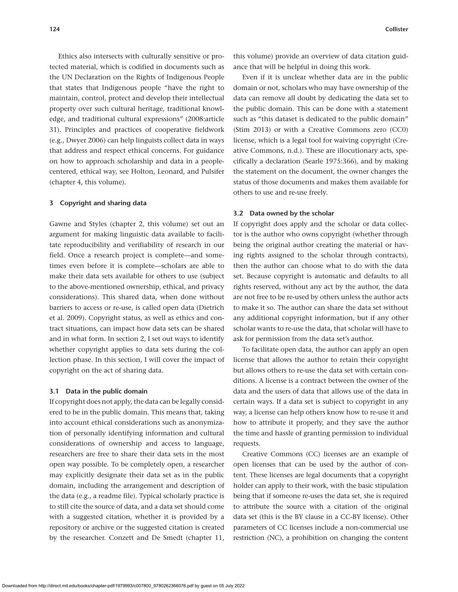Ethics also intersects with culturally sensitive or protected material, which is codified in documents such as the UN Declaration on the Rights of Indigenous People that states that Indigenous people "have the right to maintain, control, protect and develop their intellectual property over such cultural heritage, traditional knowledge, and traditional cultural expressions" (2008:article 31). Principles and practices of cooperative fieldwork (e.g., Dwyer 2006) can help linguists collect data in ways that address and respect ethical concerns. For guidance on how to approach scholarship and data in a peoplecentered, ethical way, see Holton, Leonard, and Pulsifer (chapter 4, this volume).

#### **3 Copyright and sharing data**

Gawne and Styles (chapter 2, this volume) set out an argument for making linguistic data available to facilitate reproducibility and verifiability of research in our field. Once a research project is complete—and sometimes even before it is complete—scholars are able to make their data sets available for others to use (subject to the above-mentioned ownership, ethical, and privacy considerations). This shared data, when done without barriers to access or re-use, is called open data (Dietrich et al. 2009). Copyright status, as well as ethics and contract situations, can impact how data sets can be shared and in what form. In section 2, I set out ways to identify whether copyright applies to data sets during the collection phase. In this section, I will cover the impact of copyright on the act of sharing data.

## **3.1 Data in the public domain**

If copyright does not apply, the data can be legally considered to be in the public domain. This means that, taking into account ethical considerations such as anonymization of personally identifying information and cultural considerations of ownership and access to language, researchers are free to share their data sets in the most open way possible. To be completely open, a researcher may explicitly designate their data set as in the public domain, including the arrangement and description of the data (e.g., a readme file). Typical scholarly practice is to still cite the source of data, and a data set should come with a suggested citation, whether it is provided by a repository or archive or the suggested citation is created by the researcher. Conzett and De Smedt (chapter 11,

this volume) provide an overview of data citation guidance that will be helpful in doing this work.

Even if it is unclear whether data are in the public domain or not, scholars who may have ownership of the data can remove all doubt by dedicating the data set to the public domain. This can be done with a statement such as "this dataset is dedicated to the public domain" (Stim 2013) or with a Creative Commons zero (CC0) license, which is a legal tool for waiving copyright (Creative Commons, n.d.). These are illocutionary acts, specifically a declaration (Searle 1975:366), and by making the statement on the document, the owner changes the status of those documents and makes them available for others to use and re-use freely.

# **3.2 Data owned by the scholar**

If copyright does apply and the scholar or data collector is the author who owns copyright (whether through being the original author creating the material or having rights assigned to the scholar through contracts), then the author can choose what to do with the data set. Because copyright is automatic and defaults to all rights reserved, without any act by the author, the data are not free to be re-used by others unless the author acts to make it so. The author can share the data set without any additional copyright information, but if any other scholar wants to re-use the data, that scholar will have to ask for permission from the data set's author.

To facilitate open data, the author can apply an open license that allows the author to retain their copyright but allows others to re-use the data set with certain conditions. A license is a contract between the owner of the data and the users of data that allows use of the data in certain ways. If a data set is subject to copyright in any way, a license can help others know how to re-use it and how to attribute it properly, and they save the author the time and hassle of granting permission to individual requests.

Creative Commons (CC) licenses are an example of open licenses that can be used by the author of content. These licenses are legal documents that a copyright holder can apply to their work, with the basic stipulation being that if someone re-uses the data set, she is required to attribute the source with a citation of the original data set (this is the BY clause in a CC-BY license). Other parameters of CC licenses include a non-commercial use restriction (NC), a prohibition on changing the content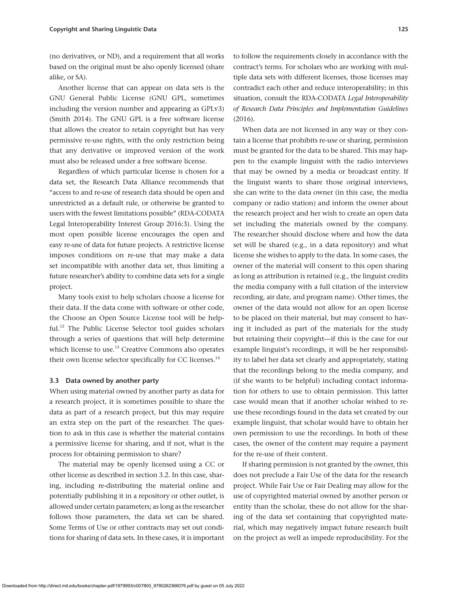(no derivatives, or ND), and a requirement that all works based on the original must be also openly licensed (share alike, or SA).

Another license that can appear on data sets is the GNU General Public License (GNU GPL, sometimes including the version number and appearing as GPLv3) (Smith 2014). The GNU GPL is a free software license that allows the creator to retain copyright but has very permissive re-use rights, with the only restriction being that any derivative or improved version of the work must also be released under a free software license.

Regardless of which particular license is chosen for a data set, the Research Data Alliance recommends that "access to and re-use of research data should be open and unrestricted as a default rule, or otherwise be granted to users with the fewest limitations possible" (RDA-CODATA Legal Interoperability Interest Group 2016:3). Using the most open possible license encourages the open and easy re-use of data for future projects. A restrictive license imposes conditions on re-use that may make a data set incompatible with another data set, thus limiting a future researcher's ability to combine data sets for a single project.

Many tools exist to help scholars choose a license for their data. If the data come with software or other code, the Choose an Open Source License tool will be helpful.12 The Public License Selector tool guides scholars through a series of questions that will help determine which license to use.<sup>13</sup> Creative Commons also operates their own license selector specifically for CC licenses.<sup>14</sup>

#### **3.3 Data owned by another party**

When using material owned by another party as data for a research project, it is sometimes possible to share the data as part of a research project, but this may require an extra step on the part of the researcher. The question to ask in this case is whether the material contains a permissive license for sharing, and if not, what is the process for obtaining permission to share?

The material may be openly licensed using a CC or other license as described in section 3.2. In this case, sharing, including re-distributing the material online and potentially publishing it in a repository or other outlet, is allowed under certain parameters; as long as the researcher follows those parameters, the data set can be shared. Some Terms of Use or other contracts may set out conditions for sharing of data sets. In these cases, it is important

to follow the requirements closely in accordance with the contract's terms. For scholars who are working with multiple data sets with different licenses, those licenses may contradict each other and reduce interoperability; in this situation, consult the RDA-CODATA *Legal Interoperability of Research Data Principles and Implementation Guidelines* (2016).

When data are not licensed in any way or they contain a license that prohibits re-use or sharing, permission must be granted for the data to be shared. This may happen to the example linguist with the radio interviews that may be owned by a media or broadcast entity. If the linguist wants to share those original interviews, she can write to the data owner (in this case, the media company or radio station) and inform the owner about the research project and her wish to create an open data set including the materials owned by the company. The researcher should disclose where and how the data set will be shared (e.g., in a data repository) and what license she wishes to apply to the data. In some cases, the owner of the material will consent to this open sharing as long as attribution is retained (e.g., the linguist credits the media company with a full citation of the interview recording, air date, and program name). Other times, the owner of the data would not allow for an open license to be placed on their material, but may consent to having it included as part of the materials for the study but retaining their copyright—if this is the case for our example linguist's recordings, it will be her responsibility to label her data set clearly and appropriately, stating that the recordings belong to the media company, and (if she wants to be helpful) including contact information for others to use to obtain permission. This latter case would mean that if another scholar wished to reuse these recordings found in the data set created by our example linguist, that scholar would have to obtain her own permission to use the recordings. In both of these cases, the owner of the content may require a payment for the re-use of their content.

If sharing permission is not granted by the owner, this does not preclude a Fair Use of the data for the research project. While Fair Use or Fair Dealing may allow for the use of copyrighted material owned by another person or entity than the scholar, these do not allow for the sharing of the data set containing that copyrighted material, which may negatively impact future research built on the project as well as impede reproducibility. For the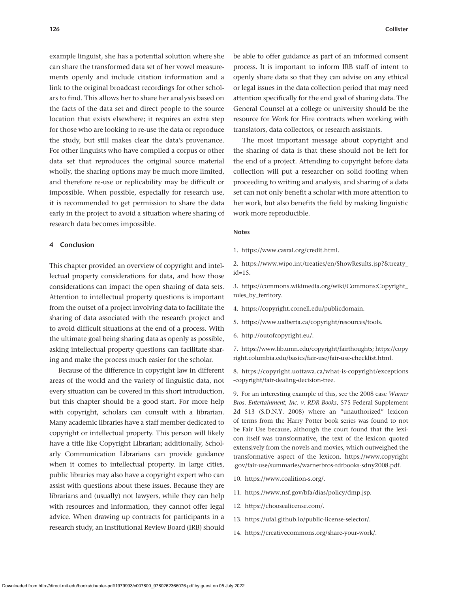example linguist, she has a potential solution where she can share the transformed data set of her vowel measurements openly and include citation information and a link to the original broadcast recordings for other scholars to find. This allows her to share her analysis based on the facts of the data set and direct people to the source location that exists elsewhere; it requires an extra step for those who are looking to re-use the data or reproduce the study, but still makes clear the data's provenance. For other linguists who have compiled a corpus or other data set that reproduces the original source material wholly, the sharing options may be much more limited, and therefore re-use or replicability may be difficult or impossible. When possible, especially for research use, it is recommended to get permission to share the data early in the project to avoid a situation where sharing of research data becomes impossible.

# **4 Conclusion**

This chapter provided an overview of copyright and intellectual property considerations for data, and how those considerations can impact the open sharing of data sets. Attention to intellectual property questions is important from the outset of a project involving data to facilitate the sharing of data associated with the research project and to avoid difficult situations at the end of a process. With the ultimate goal being sharing data as openly as possible, asking intellectual property questions can facilitate sharing and make the process much easier for the scholar.

Because of the difference in copyright law in different areas of the world and the variety of linguistic data, not every situation can be covered in this short introduction, but this chapter should be a good start. For more help with copyright, scholars can consult with a librarian. Many academic libraries have a staff member dedicated to copyright or intellectual property. This person will likely have a title like Copyright Librarian; additionally, Scholarly Communication Librarians can provide guidance when it comes to intellectual property. In large cities, public libraries may also have a copyright expert who can assist with questions about these issues. Because they are librarians and (usually) not lawyers, while they can help with resources and information, they cannot offer legal advice. When drawing up contracts for participants in a research study, an Institutional Review Board (IRB) should

be able to offer guidance as part of an informed consent process. It is important to inform IRB staff of intent to openly share data so that they can advise on any ethical or legal issues in the data collection period that may need attention specifically for the end goal of sharing data. The General Counsel at a college or university should be the resource for Work for Hire contracts when working with translators, data collectors, or research assistants.

The most important message about copyright and the sharing of data is that these should not be left for the end of a project. Attending to copyright before data collection will put a researcher on solid footing when proceeding to writing and analysis, and sharing of a data set can not only benefit a scholar with more attention to her work, but also benefits the field by making linguistic work more reproducible.

#### **Notes**

1. [https://www.casrai.org/credit.html.](https://www.casrai.org/credit.html)

2. [https://www.wipo.int/treaties/en/ShowResults.jsp?&treaty\\_](https://www.wipo.int/treaties/en/ShowResults.jsp?&treaty_id=15) [id=15](https://www.wipo.int/treaties/en/ShowResults.jsp?&treaty_id=15).

3. [https://commons.wikimedia.org/wiki/Commons:Copyright\\_](https://commons.wikimedia.org/wiki/Commons:Copyright_rules_by_territory) [rules\\_by\\_territory.](https://commons.wikimedia.org/wiki/Commons:Copyright_rules_by_territory)

- 4. <https://copyright.cornell.edu/publicdomain>.
- 5. <https://www.ualberta.ca/copyright/resources/tools>.
- 6. <http://outofcopyright.eu/>.

7. [https://www.lib.umn.edu/copyright/fairthoughts;](https://www.lib.umn.edu/copyright/fairthoughts) [https://copy](https://copyright.columbia.edu/basics/fair-use/fair-use-checklist.html) [right.columbia.edu/basics/fair-use/fair-use-checklist.html](https://copyright.columbia.edu/basics/fair-use/fair-use-checklist.html).

8. [https://copyright.uottawa.ca/what-is-copyright/exceptions](https://copyright.uottawa.ca/what-is-copyright/exceptions-copyright/fair-dealing-decision-tree) [-copyright/fair-dealing-decision-tree.](https://copyright.uottawa.ca/what-is-copyright/exceptions-copyright/fair-dealing-decision-tree)

9. For an interesting example of this, see the 2008 case *Warner Bros. Entertainment, Inc. v. RDR Books*, 575 Federal Supplement 2d 513 (S.D.N.Y. 2008) where an "unauthorized" lexicon of terms from the Harry Potter book series was found to not be Fair Use because, although the court found that the lexicon itself was transformative, the text of the lexicon quoted extensively from the novels and movies, which outweighed the transformative aspect of the lexicon. [https://www.copyright](https://www.copyright.gov/fair-use/summaries/warnerbros-rdrbooks-sdny2008.pdf) [.gov/fair-use/summaries/warnerbros-rdrbooks-sdny2008.pdf](https://www.copyright.gov/fair-use/summaries/warnerbros-rdrbooks-sdny2008.pdf).

- 10. [https://www.coalition-s.org/.](https://www.coalition-s.org/)
- 11. [https://www.nsf.gov/bfa/dias/policy/dmp.jsp.](https://www.nsf.gov/bfa/dias/policy/dmp.jsp)
- 12. [https://choosealicense.com/.](https://choosealicense.com/)
- 13. [https://ufal.github.io/public-license-selector/.](https://ufal.github.io/public-license-selector/)
- 14. [https://creativecommons.org/share-your-work/.](https://creativecommons.org/share-your-work/)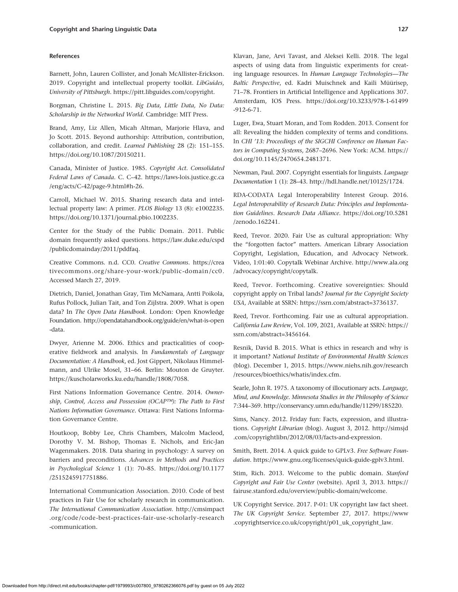#### **References**

Barnett, John, Lauren Collister, and Jonah McAllister-Erickson. 2019. Copyright and intellectual property toolkit. *LibGuides, University of Pittsburgh*.<https://pitt.libguides.com/copyright>.

Borgman, Christine L. 2015. *Big Data, Little Data, No Data: Scholarship in the Networked World*. Cambridge: MIT Press.

Brand, Amy, Liz Allen, Micah Altman, Marjorie Hlava, and Jo Scott. 2015. Beyond authorship: Attribution, contribution, collaboration, and credit. *Learned Publishing* 28 (2): 151–155. [https://doi.org/10.1087/20150211.](https://doi.org/10.1087/20150211)

Canada, Minister of Justice. 1985. *Copyright Act*. *Consolidated Federal Laws of Canada*. C. C–42. [https://laws-lois.justice.gc.ca](https://laws-lois.justice.gc.ca/eng/acts/C-42/page-9.html#h-26) [/eng/acts/C-42/page-9.html#h-26](https://laws-lois.justice.gc.ca/eng/acts/C-42/page-9.html#h-26).

Carroll, Michael W. 2015. Sharing research data and intellectual property law: A primer. *PLOS Biology* 13 (8): e1002235. <https://doi.org/10.1371/journal.pbio.1002235>.

Center for the Study of the Public Domain. 2011. Public domain frequently asked questions. [https://law.duke.edu/cspd](https://law.duke.edu/cspd/publicdomainday/2011/pddfaq) [/publicdomainday/2011/pddfaq](https://law.duke.edu/cspd/publicdomainday/2011/pddfaq).

Creative Commons. n.d. CC0. *Creative Commons*. [https://crea](https://creativecommons.org/share-your-work/public-domain/cc0) tivecommons .org/share [-your-work/public](https://creativecommons.org/share-your-work/public-domain/cc0) -domain/cc0. Accessed March 27, 2019.

Dietrich, Daniel, Jonathan Gray, Tim McNamara, Antti Poikola, Rufus Pollock, Julian Tait, and Ton Zijlstra. 2009. What is open data? In *The Open Data Handbook*. London: Open Knowledge Foundation. [http://opendatahandbook.org/guide/en/what-is-open](http://opendatahandbook.org/guide/en/what-is-open-data) [-data.](http://opendatahandbook.org/guide/en/what-is-open-data)

Dwyer, Arienne M. 2006. Ethics and practicalities of cooperative fieldwork and analysis. In *Fundamentals of Language Documentation: A Handbook*, ed. Jost Gippert, Nikolaus Himmelmann, and Ulrike Mosel, 31–66. Berlin: Mouton de Gruyter. <https://kuscholarworks.ku.edu/handle/1808/7058>.

First Nations Information Governance Centre. 2014. *Ownership, Control, Access and Possession (OCAP™): The Path to First Nations Information Governance.* Ottawa: First Nations Information Governance Centre.

Houtkoop, Bobby Lee, Chris Chambers, Malcolm Macleod, Dorothy V. M. Bishop, Thomas E. Nichols, and Eric-Jan Wagenmakers. 2018. Data sharing in psychology: A survey on barriers and preconditions. *Advances in Methods and Practices in Psychological Science* 1 (1): 70–85. [https://doi.org/10.1177](https://doi.org/10.1177/2515245917751886) [/2515245917751886](https://doi.org/10.1177/2515245917751886).

International Communication Association. 2010. Code of best practices in Fair Use for scholarly research in communication. *The International Communication Association*. [http://cmsimpact](http://cmsimpact.org/code/code-best-practices-fair-use-scholarly-research-communication) [.org/code/code-best-practices](http://cmsimpact.org/code/code-best-practices-fair-use-scholarly-research-communication) -fair-use-scholarly-research [-communication](http://cmsimpact.org/code/code-best-practices-fair-use-scholarly-research-communication).

Klavan, Jane, Arvi Tavast, and Aleksei Kelli. 2018. The legal aspects of using data from linguistic experiments for creating language resources. In *Human Language Technologies—The Baltic Perspective*, ed. Kadri Muischnek and Kaili Müürisep, 71–78. Frontiers in Artificial Intelligence and Applications 307. Amsterdam, IOS Press. [https://doi.org/10.3233/978-1-61499](https://doi.org/10.3233/978-1-61499-912-6-71) [-912-6-71](https://doi.org/10.3233/978-1-61499-912-6-71).

Luger, Ewa, Stuart Moran, and Tom Rodden. 2013. Consent for all: Revealing the hidden complexity of terms and conditions. In *CHI '13: Proceedings of the SIGCHI Conference on Human Factors in Computing Systems*, 2687–2696. New York: ACM. [https://](https://doi.org/10.1145/2470654.2481371) [doi.org/10.1145/2470654.2481371.](https://doi.org/10.1145/2470654.2481371)

Newman, Paul. 2007. Copyright essentials for linguists. *Language Documentation* 1 (1): 28–43. [http://hdl.handle.net/10125/1724.](http://hdl.handle.net/10125/1724)

RDA-CODATA Legal Interoperability Interest Group. 2016. *Legal Interoperability of Research Data: Principles and Implementation Guidelines*. *Research Data Alliance*. [https://doi.org/10.5281](https://doi.org/10.5281/zenodo.162241) [/zenodo.162241](https://doi.org/10.5281/zenodo.162241).

Reed, Trevor. 2020. Fair Use as cultural appropriation: Why the "forgotten factor" matters. American Library Association Copyright, Legislation, Education, and Advocacy Network. Video, 1:01:40. Copytalk Webinar Archive. [http://www.ala.org](http://www.ala.org/advocacy/copyright/copytalk) [/advocacy/copyright/copytalk](http://www.ala.org/advocacy/copyright/copytalk).

Reed, Trevor. Forthcoming. Creative sovereignties: Should copyright apply on Tribal lands? *Journal for the Copyright Society USA*, Available at SSRN: <https://ssrn.com/abstract=3736137>.

Reed, Trevor. Forthcoming. Fair use as cultural appropriation. *California Law Review*, Vol. 109, 2021, Available at SSRN: [https://](https://ssrn.com/abstract=3456164) [ssrn.com/abstract=3456164.](https://ssrn.com/abstract=3456164)

Resnik, David B. 2015. What is ethics in research and why is it important? *National Institute of Environmental Health Sciences* (blog). December 1, 2015. [https://www.niehs.nih.gov/research](https://www.niehs.nih.gov/research/resources/bioethics/whatis/index.cfm) [/resources/bioethics/whatis/index.cfm.](https://www.niehs.nih.gov/research/resources/bioethics/whatis/index.cfm)

Searle, John R. 1975. A taxonomy of illocutionary acts. *Language, Mind, and Knowledge. Minnesota Studies in the Philosophy of Science* 7:344–369. [http://conservancy.umn.edu/handle/11299/185220.](http://conservancy.umn.edu/handle/11299/185220)

Sims, Nancy. 2012. Friday fun: Facts, expression, and illustrations. *Copyright Librarian* (blog). August 3, 2012. [http://simsjd](http://simsjd.com/copyrightlibn/2012/08/03/facts-and-expression) [.com/copyrightlibn/2012/08/03/facts-and-expression.](http://simsjd.com/copyrightlibn/2012/08/03/facts-and-expression)

Smith, Brett. 2014. A quick guide to GPLv3. *Free Software Foundation*. <https://www.gnu.org/licenses/quick-guide-gplv3.html>.

Stim, Rich. 2013. Welcome to the public domain. *Stanford Copyright and Fair Use Center* (website). April 3, 2013. [https://](https://fairuse.stanford.edu/overview/public-domain/welcome) [fairuse.stanford.edu/overview/public-domain/welcome.](https://fairuse.stanford.edu/overview/public-domain/welcome)

UK Copyright Service. 2017. P-01: UK copyright law fact sheet. *The UK Copyright Service*. September 27, 2017. [https://www](https://www.copyrightservice.co.uk/copyright/p01_uk_copyright_law) [.copyrightservice.co.uk/copyright/p01\\_uk\\_copyright\\_law](https://www.copyrightservice.co.uk/copyright/p01_uk_copyright_law).